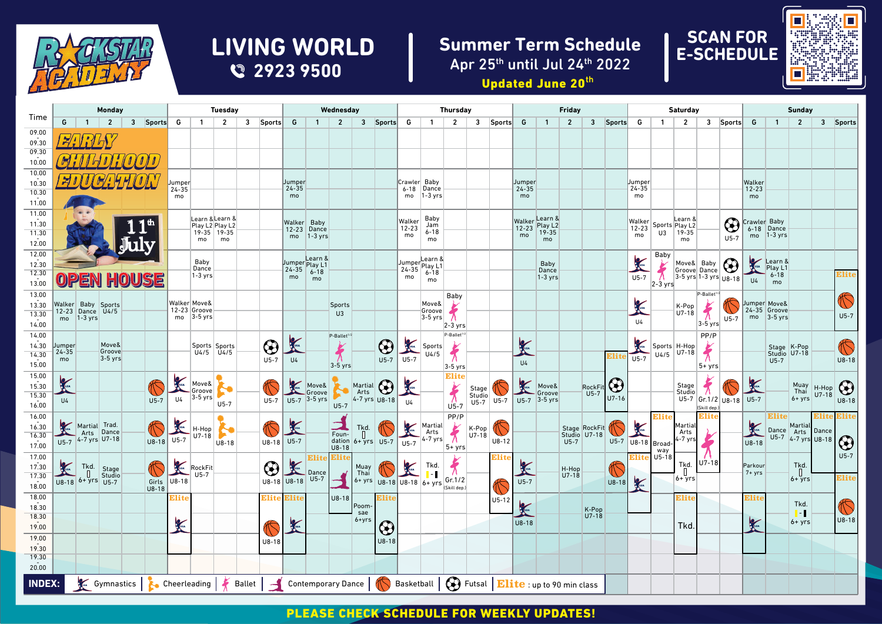

## **2923 9500 LIVING WORLD**

## **Summer Term Schedule** Apr 25th until Jul 24th 2022





|                       | <b>Monday</b>                          |                   |                                                   |                          | <b>Tuesday</b> |                                   |                                |                                    |  | Wednesday             |                                                                          |                                 |                                 |                                                | <b>Thursday</b> |                                                                                                                                                                                                                                      |                                            |                           |                 | <b>Friday</b> |                 |                                                 |                |                | <b>Saturday</b>       |                     |                           |                                       |                        | <b>Sunday</b>          |                      |                              |                                                |                  |                     |
|-----------------------|----------------------------------------|-------------------|---------------------------------------------------|--------------------------|----------------|-----------------------------------|--------------------------------|------------------------------------|--|-----------------------|--------------------------------------------------------------------------|---------------------------------|---------------------------------|------------------------------------------------|-----------------|--------------------------------------------------------------------------------------------------------------------------------------------------------------------------------------------------------------------------------------|--------------------------------------------|---------------------------|-----------------|---------------|-----------------|-------------------------------------------------|----------------|----------------|-----------------------|---------------------|---------------------------|---------------------------------------|------------------------|------------------------|----------------------|------------------------------|------------------------------------------------|------------------|---------------------|
| Time                  | G                                      | $\overline{1}$    | $\overline{2}$                                    |                          | 3 Sports       | G                                 | $\overline{1}$                 | $\overline{2}$                     |  | 3 Sports G            |                                                                          | $\overline{1}$                  | $\overline{2}$                  |                                                | 3 Sports        | G                                                                                                                                                                                                                                    | $\overline{1}$                             | $\overline{2}$            | $\mathbf{3}$    | Sports G      |                 | $\mathbf{1}$                                    | $\overline{2}$ |                | 3 Sports G            |                     | $\overline{1}$            | $\overline{2}$                        |                        | 3 Sports               | G                    | $\overline{1}$               | $\overline{2}$                                 |                  | 3 Sports            |
| 09.00<br>09.30        |                                        |                   |                                                   |                          |                |                                   |                                |                                    |  |                       |                                                                          |                                 |                                 |                                                |                 |                                                                                                                                                                                                                                      |                                            |                           |                 |               |                 |                                                 |                |                |                       |                     |                           |                                       |                        |                        |                      |                              |                                                |                  |                     |
| 09.30<br>10.00        |                                        |                   |                                                   |                          |                |                                   |                                |                                    |  |                       |                                                                          |                                 |                                 |                                                |                 |                                                                                                                                                                                                                                      |                                            |                           |                 |               |                 |                                                 |                |                |                       |                     |                           |                                       |                        |                        |                      |                              |                                                |                  |                     |
| 10.00                 |                                        |                   |                                                   |                          |                |                                   |                                |                                    |  |                       |                                                                          |                                 |                                 |                                                |                 |                                                                                                                                                                                                                                      |                                            |                           |                 |               |                 |                                                 |                |                |                       |                     |                           |                                       |                        |                        |                      |                              |                                                |                  |                     |
| 10.30<br>10.30        |                                        |                   | $H^{\prime}$                                      |                          |                | Jumper<br>$24 - 35$               |                                |                                    |  |                       | Jumper<br>$24 - 35$                                                      |                                 |                                 |                                                |                 | Crawler Baby                                                                                                                                                                                                                         | $6-18$ Dance                               |                           |                 |               | Jumper<br>24-35 |                                                 |                |                |                       | Uumper<br>$24 - 35$ |                           |                                       |                        |                        | Walker<br>$12 - 23$  |                              |                                                |                  |                     |
| 11.00                 |                                        |                   |                                                   |                          |                | mo                                |                                |                                    |  |                       | mo                                                                       |                                 |                                 |                                                |                 | mo                                                                                                                                                                                                                                   | $ 1-3 \text{ yrs} $                        |                           |                 |               | mo              |                                                 |                |                |                       | mo                  |                           |                                       |                        |                        | mo                   |                              |                                                |                  |                     |
| 11.00                 |                                        |                   |                                                   |                          |                |                                   |                                |                                    |  |                       |                                                                          |                                 |                                 |                                                |                 |                                                                                                                                                                                                                                      | Baby                                       |                           |                 |               |                 |                                                 |                |                |                       |                     |                           | Learn &                               |                        |                        |                      |                              |                                                |                  |                     |
| 11.30<br>11.30        |                                        |                   |                                                   |                          |                |                                   | $19 - 35$ 19 - 35              | Learn & Learn &<br>Play L2 Play L2 |  |                       | Walker Baby                                                              | 12-23 Dance                     |                                 |                                                |                 | Walker<br>$12 - 23$                                                                                                                                                                                                                  | Jam<br>6-18                                |                           |                 |               |                 | Walker Learn &<br>12-23 Play L2<br>mo 19-35     |                |                |                       | $12 - 23$           |                           | Walker Sports Play L2<br>$U3$   19-35 |                        | $\bigcirc$             | Crawler Baby         | 6-18 Dance                   |                                                |                  |                     |
| 12.00                 |                                        |                   |                                                   | 11 <sup>th</sup><br>July |                |                                   | mo                             | mo                                 |  |                       |                                                                          | $mo$ 1-3 yrs                    |                                 |                                                |                 | mo                                                                                                                                                                                                                                   | mo                                         |                           |                 |               | mo              | mo                                              |                |                |                       | mo                  |                           | mo                                    |                        | $U5-7$                 |                      | $mo$ 1-3 yrs                 |                                                |                  |                     |
| 12.00                 |                                        |                   |                                                   |                          |                |                                   |                                |                                    |  |                       |                                                                          | Learn &                         |                                 |                                                |                 |                                                                                                                                                                                                                                      |                                            |                           |                 |               |                 |                                                 |                |                |                       |                     | Baby                      |                                       |                        |                        |                      |                              |                                                |                  |                     |
| 12.30                 |                                        |                   |                                                   |                          |                |                                   | Baby<br>Dance                  |                                    |  |                       | $24-35$ $6-18$                                                           | Jumper Play L1                  |                                 |                                                |                 | $24 - 35$                                                                                                                                                                                                                            | JumperLearn &<br>26.35 Play L1<br>$6 - 18$ |                           |                 |               |                 | Baby<br>Dance                                   |                |                |                       | <b>Canadia</b>      | $\frac{1}{\lambda}$       | Move& Baby<br>Groove Dance            |                        | $\bigcirc$             |                      | Learn &<br>Play L1           |                                                |                  |                     |
| $\frac{12.30}{13.00}$ |                                        |                   | OPEN HOUSE                                        |                          |                |                                   | $1-3$ yrs                      |                                    |  |                       | mo                                                                       | mo                              |                                 |                                                |                 | mo                                                                                                                                                                                                                                   | mo                                         |                           |                 |               |                 | $1-3$ yrs                                       |                |                |                       | $\overline{U}$ 5-7  | $2-3$ yrs                 | $3-5$ yrs 1-3 yrs U8-18               |                        |                        | U4                   | $6 - 18$<br>mo               |                                                |                  | Elite               |
| 13.00                 |                                        |                   |                                                   |                          |                |                                   |                                |                                    |  |                       |                                                                          |                                 |                                 |                                                |                 |                                                                                                                                                                                                                                      |                                            | Baby                      |                 |               |                 |                                                 |                |                |                       |                     |                           |                                       | P-Ballet <sup>1/</sup> |                        |                      |                              |                                                |                  |                     |
| 13.30                 | Walker Baby Sports<br>12-23 Dance U4/5 |                   |                                                   |                          |                | Walker Move&                      | 12-23 Groove                   |                                    |  |                       |                                                                          |                                 | <b>Sports</b><br>U <sub>3</sub> |                                                |                 |                                                                                                                                                                                                                                      | Move&<br>Groove                            | $\frac{1}{\lambda}$       |                 |               |                 |                                                 |                |                |                       | $\gamma$            |                           | K-Pop<br>U7-18                        | $\zeta$                |                        |                      | Jumper Move&<br>24-35 Groove |                                                |                  | C                   |
| 13.30<br>14.00        | mo                                     | $1-3$ yrs         |                                                   |                          |                |                                   | mo $ 3-5 \text{ yrs} $         |                                    |  |                       |                                                                          |                                 |                                 |                                                |                 |                                                                                                                                                                                                                                      | $3-5$ yrs                                  | $2-3$ yrs                 |                 |               |                 |                                                 |                |                |                       | <b>U4</b>           |                           |                                       | $3-5$ yrs              | $U5-7$                 |                      | $mo$ 3-5 yrs                 |                                                |                  | $U5-7$              |
| 14.00                 |                                        |                   |                                                   |                          |                |                                   |                                |                                    |  |                       |                                                                          |                                 | P-Ballet <sup>1/</sup>          |                                                |                 |                                                                                                                                                                                                                                      |                                            | P-Ballet <sup>1</sup>     |                 |               |                 |                                                 |                |                |                       |                     |                           |                                       | PP/P                   |                        |                      |                              |                                                |                  |                     |
| 14.30                 | Jumper<br>24-35                        |                   | Move&<br>Groove                                   |                          |                |                                   | Sports Sports<br>$U4/5$ $U4/5$ |                                    |  | $  \mathbf{\Theta}  $ | $U_4$                                                                    |                                 | $\frac{1}{\lambda}$             |                                                | $\bigcirc$      | $\frac{1}{\sqrt{15}-7}$                                                                                                                                                                                                              | Sports                                     | $\bigstar$                |                 |               | <b>CASA</b>     |                                                 |                |                |                       |                     | Sports H-Hop              | U7-18                                 | $\frac{1}{\lambda}$    |                        |                      | Stage K-Pop                  |                                                |                  | C                   |
| 14.30<br>15.00        | mo                                     |                   | $3-5$ yrs                                         |                          |                |                                   |                                |                                    |  | $U5-7$                |                                                                          |                                 | $3-5$ yrs                       |                                                | $U5-7$          |                                                                                                                                                                                                                                      | U4/5                                       |                           |                 |               | U4              |                                                 |                |                | Elite                 | $\overline{U}$ 5-7  | U4/5                      |                                       | $5 + yrs$              |                        |                      | Studio U7-18<br>$U5-7$       |                                                |                  | $U8-18$             |
| 15.00                 |                                        |                   |                                                   |                          |                |                                   |                                |                                    |  |                       |                                                                          |                                 |                                 |                                                |                 |                                                                                                                                                                                                                                      |                                            | $3-5$ yrs<br><b>Elite</b> |                 |               |                 |                                                 |                |                |                       |                     |                           |                                       |                        |                        |                      |                              |                                                |                  |                     |
| 15.30                 | <b>C</b> USA                           |                   |                                                   |                          |                |                                   | Move&<br>Groove                |                                    |  |                       |                                                                          | Move&<br>Groove<br>U5-7 3-5 yrs |                                 | Martial<br>Arts<br>4-7 vrs                     | $\bigcirc$      | <b>CONSTRUCTION</b>                                                                                                                                                                                                                  |                                            |                           | Stage<br>Studio |               | K               | Move&                                           |                | <b>RockFit</b> | $  \mathbf{\Theta}  $ |                     |                           | Stage<br>Studio                       | $\tilde{\bm{\pi}}$     |                        | K                    |                              | Muay<br>Thai                                   | $H-Hop$<br>U7-18 | $\bigodot$<br>U8-18 |
| 15.30<br>16.00        | U <sub>4</sub>                         |                   |                                                   |                          | $U5-7$         | U4                                | $3-5$ yrs                      | $U5-7$                             |  | $U5-7$                |                                                                          |                                 | $U5-7$                          |                                                | $4-7$ yrs U8-18 | $U_4$                                                                                                                                                                                                                                |                                            | $\sum_{\text{U5--7}}$     | $U5-7$          |               |                 | Groove<br>$U5-7$ $U5-7$ $3-5$ yrs               |                | $U5-7$         | $U7-16$               |                     |                           |                                       |                        | U5-7 Gr.1/2 U8-18 U5-7 |                      |                              | $6 + yrs$                                      |                  |                     |
| 16.00                 |                                        |                   |                                                   |                          |                |                                   |                                |                                    |  |                       |                                                                          |                                 |                                 |                                                |                 |                                                                                                                                                                                                                                      |                                            | PP/P                      |                 |               |                 |                                                 |                |                |                       |                     | Elite                     |                                       | (Skill dep.)<br>Elite  |                        |                      | <b>Elite</b>                 |                                                | Elite            | Elite               |
| 16.30                 |                                        |                   |                                                   |                          | J              | $\frac{1}{\sqrt{15}}$             | H-Hop                          | N                                  |  |                       |                                                                          |                                 | $\sum_{\text{Foun}}$            | $\begin{bmatrix} 1 & 1 \\ 1 & 1 \end{bmatrix}$ | $\mathbb{O}$    |                                                                                                                                                                                                                                      | Martial<br>Arts<br>II5-7 4-7 yrs           | $\frac{1}{\lambda}$       | K-Pop<br>U7-18  | I             |                 |                                                 |                | Stage RockFit  |                       | $\mathbf{K}$        |                           | Martial<br>Arts                       |                        |                        | <b>CONTROLLER</b>    | Dance Arts                   | Martial                                        | Dance            |                     |
| 16.30<br>17.00        |                                        |                   | Martial Trad.<br>Arts Dance<br>U5-7 4-7 yrs U7-18 |                          | $U8-18$        |                                   | $U7-18$                        | $ U8-18$                           |  | $\bigotimes_{18-18}$  |                                                                          |                                 | dation 6+ yrs $U5-7$ $U5-7$     |                                                |                 |                                                                                                                                                                                                                                      |                                            |                           |                 | $U8-12$       |                 |                                                 | $U5-7$         | Studio U7-18   |                       | U5-7 U8-18 Broad-   |                           | 4-7 yrs                               |                        |                        | $U8-18$              |                              | $U5-7$ 4-7 yrs $U8-18$                         |                  | $\bigcirc$          |
| 17.00                 |                                        |                   |                                                   |                          |                |                                   |                                |                                    |  |                       |                                                                          | Elite                           | Elite                           |                                                |                 |                                                                                                                                                                                                                                      |                                            | $5 + yrs$                 |                 | Elite         |                 |                                                 |                |                |                       |                     | way<br><b>Elite</b> U5-18 |                                       |                        |                        |                      |                              |                                                |                  | $U5-7$              |
| 17.30                 | <b>Asset</b>                           |                   | Tkd. Stage                                        |                          |                |                                   | RockFit                        |                                    |  | $  \mathbf{\Theta}  $ | Dance                                                                    |                                 |                                 | Muay<br>Thai                                   |                 | <b>Contract of the Contract of the Contract of The Contract of The Contract of The Contract of The Contract of The Contract of The Contract of The Contract of The Contract of The Contract of The Contract of The Contract of T</b> | Tkd.<br><mark> </mark> -                   | $\bigstar$                |                 |               | $\propto$       |                                                 | H-Hop          |                | C                     |                     |                           | Tkd.<br>$\mathbb{R}$                  | $U7-18$                |                        | Parkour<br>$7 + yrs$ |                              | Tkd.<br>$\begin{array}{c} \square \end{array}$ |                  |                     |
| $\frac{17.30}{18.00}$ |                                        | U8-18 6+ yrs U5-7 |                                                   |                          | Girls          | U8-18                             |                                |                                    |  |                       | U8-18 U8-18                                                              | $U5-7$                          |                                 |                                                |                 |                                                                                                                                                                                                                                      | $6 + yrs$ U8-18 U8-18 $6 + yrs$ Gr. 1/2    |                           |                 |               | $U5-7$          |                                                 | U7-18          |                | $U8-18$               | $\frac{1}{2}$       |                           | 6+ yrs                                |                        |                        |                      |                              | $6 + 9$ rs                                     |                  | Elite               |
| 18.00                 |                                        |                   |                                                   |                          | $U8-18$        | Elite                             |                                |                                    |  | Elite                 | Elite                                                                    |                                 | $U8-18$                         |                                                | Elite           |                                                                                                                                                                                                                                      |                                            | (Skill dep.)              |                 | $U5-12$       |                 |                                                 |                |                |                       |                     |                           | Elite                                 |                        |                        | Elit                 |                              |                                                |                  |                     |
| 18.30                 |                                        |                   |                                                   |                          |                |                                   |                                |                                    |  |                       |                                                                          |                                 |                                 | Poom-<br>sae                                   |                 |                                                                                                                                                                                                                                      |                                            |                           |                 |               | K               |                                                 |                | K-Pop          |                       |                     |                           |                                       |                        |                        |                      |                              | Tkd.<br>$\blacksquare$                         |                  | C                   |
| 18.30<br>19.00        |                                        |                   |                                                   |                          |                | <b>Contract Contract Contract</b> |                                |                                    |  |                       | <b>Company</b>                                                           |                                 |                                 | 6+yrs                                          |                 |                                                                                                                                                                                                                                      |                                            |                           |                 |               | $U8-18$         |                                                 |                | $U7-18$        |                       |                     |                           | Tkd.                                  |                        |                        | $\frac{1}{2}$        |                              | $6 + yrs$                                      |                  | $U8-18$             |
| 19.00                 |                                        |                   |                                                   |                          |                |                                   |                                |                                    |  |                       |                                                                          |                                 |                                 |                                                | $\bigcirc$      |                                                                                                                                                                                                                                      |                                            |                           |                 |               |                 |                                                 |                |                |                       |                     |                           |                                       |                        |                        |                      |                              |                                                |                  |                     |
| 19.30                 |                                        |                   |                                                   |                          |                |                                   |                                |                                    |  | $U8-18$               |                                                                          |                                 |                                 |                                                | $U8-18$         |                                                                                                                                                                                                                                      |                                            |                           |                 |               |                 |                                                 |                |                |                       |                     |                           |                                       |                        |                        |                      |                              |                                                |                  |                     |
| 19.30<br>20.00        |                                        |                   |                                                   |                          |                |                                   |                                |                                    |  |                       |                                                                          |                                 |                                 |                                                |                 |                                                                                                                                                                                                                                      |                                            |                           |                 |               |                 |                                                 |                |                |                       |                     |                           |                                       |                        |                        |                      |                              |                                                |                  |                     |
|                       |                                        |                   |                                                   |                          |                |                                   |                                |                                    |  |                       |                                                                          |                                 |                                 |                                                |                 |                                                                                                                                                                                                                                      |                                            |                           |                 |               |                 |                                                 |                |                |                       |                     |                           |                                       |                        |                        |                      |                              |                                                |                  |                     |
| <b>INDEX:</b>         |                                        |                   |                                                   |                          |                |                                   |                                |                                    |  |                       | Gymnastics   Cheerleading   K Ballet   Gontemporary Dance   K Basketball |                                 |                                 |                                                |                 |                                                                                                                                                                                                                                      |                                            |                           |                 |               |                 | <b>B</b> Futsal <b>Elite</b> up to 90 min class |                |                |                       |                     |                           |                                       |                        |                        |                      |                              |                                                |                  |                     |